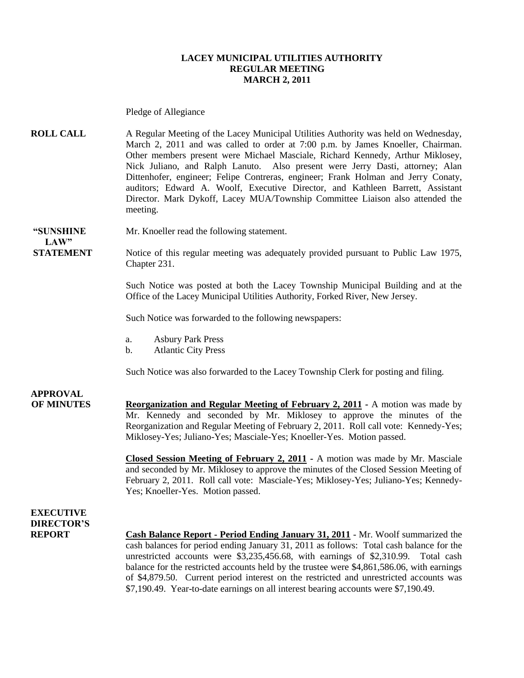#### **LACEY MUNICIPAL UTILITIES AUTHORITY REGULAR MEETING MARCH 2, 2011**

Pledge of Allegiance

**ROLL CALL** A Regular Meeting of the Lacey Municipal Utilities Authority was held on Wednesday, March 2, 2011 and was called to order at 7:00 p.m. by James Knoeller, Chairman. Other members present were Michael Masciale, Richard Kennedy, Arthur Miklosey, Nick Juliano, and Ralph Lanuto. Also present were Jerry Dasti, attorney; Alan Dittenhofer, engineer; Felipe Contreras, engineer; Frank Holman and Jerry Conaty, auditors; Edward A. Woolf, Executive Director, and Kathleen Barrett, Assistant Director. Mark Dykoff, Lacey MUA/Township Committee Liaison also attended the meeting.

**"SUNSHINE** Mr. Knoeller read the following statement.

**STATEMENT** Notice of this regular meeting was adequately provided pursuant to Public Law 1975, Chapter 231.

> Such Notice was posted at both the Lacey Township Municipal Building and at the Office of the Lacey Municipal Utilities Authority, Forked River, New Jersey.

Such Notice was forwarded to the following newspapers:

- a. Asbury Park Press
- b. Atlantic City Press

Such Notice was also forwarded to the Lacey Township Clerk for posting and filing.

## **APPROVAL**

 $LAW"$ 

**OF MINUTES Reorganization and Regular Meeting of February 2, 2011 -** A motion was made by Mr. Kennedy and seconded by Mr. Miklosey to approve the minutes of the Reorganization and Regular Meeting of February 2, 2011. Roll call vote: Kennedy-Yes; Miklosey-Yes; Juliano-Yes; Masciale-Yes; Knoeller-Yes. Motion passed.

> **Closed Session Meeting of February 2, 2011 -** A motion was made by Mr. Masciale and seconded by Mr. Miklosey to approve the minutes of the Closed Session Meeting of February 2, 2011. Roll call vote: Masciale-Yes; Miklosey-Yes; Juliano-Yes; Kennedy-Yes; Knoeller-Yes. Motion passed.

## **EXECUTIVE DIRECTOR'S**

**REPORT Cash Balance Report - Period Ending January 31, 2011** - Mr. Woolf summarized the cash balances for period ending January 31, 2011 as follows: Total cash balance for the unrestricted accounts were \$3,235,456.68, with earnings of \$2,310.99. Total cash balance for the restricted accounts held by the trustee were \$4,861,586.06, with earnings of \$4,879.50. Current period interest on the restricted and unrestricted accounts was \$7,190.49. Year-to-date earnings on all interest bearing accounts were \$7,190.49.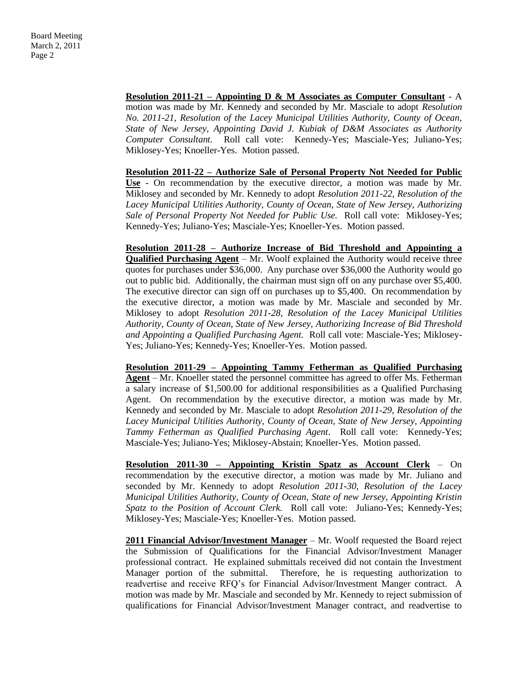#### **Resolution 2011-21 – Appointing D & M Associates as Computer Consultant** - A

motion was made by Mr. Kennedy and seconded by Mr. Masciale to adopt *Resolution No. 2011-21, Resolution of the Lacey Municipal Utilities Authority, County of Ocean, State of New Jersey, Appointing David J. Kubiak of D&M Associates as Authority Computer Consultant.* Roll call vote: Kennedy-Yes; Masciale-Yes; Juliano-Yes; Miklosey-Yes; Knoeller-Yes. Motion passed.

**Resolution 2011-22 – Authorize Sale of Personal Property Not Needed for Public Use** - On recommendation by the executive director, a motion was made by Mr. Miklosey and seconded by Mr. Kennedy to adopt *Resolution 2011-22, Resolution of the Lacey Municipal Utilities Authority, County of Ocean, State of New Jersey, Authorizing Sale of Personal Property Not Needed for Public Use.* Roll call vote: Miklosey-Yes; Kennedy-Yes; Juliano-Yes; Masciale-Yes; Knoeller-Yes. Motion passed.

**Resolution 2011-28 – Authorize Increase of Bid Threshold and Appointing a Qualified Purchasing Agent** – Mr. Woolf explained the Authority would receive three quotes for purchases under \$36,000. Any purchase over \$36,000 the Authority would go out to public bid. Additionally, the chairman must sign off on any purchase over \$5,400. The executive director can sign off on purchases up to \$5,400. On recommendation by the executive director, a motion was made by Mr. Masciale and seconded by Mr. Miklosey to adopt *Resolution 2011-28, Resolution of the Lacey Municipal Utilities Authority, County of Ocean, State of New Jersey, Authorizing Increase of Bid Threshold and Appointing a Qualified Purchasing Agent.* Roll call vote: Masciale-Yes; Miklosey-Yes; Juliano-Yes; Kennedy-Yes; Knoeller-Yes. Motion passed.

**Resolution 2011-29 – Appointing Tammy Fetherman as Qualified Purchasing Agent** – Mr. Knoeller stated the personnel committee has agreed to offer Ms. Fetherman a salary increase of \$1,500.00 for additional responsibilities as a Qualified Purchasing Agent. On recommendation by the executive director, a motion was made by Mr. Kennedy and seconded by Mr. Masciale to adopt *Resolution 2011-29, Resolution of the Lacey Municipal Utilities Authority, County of Ocean, State of New Jersey, Appointing Tammy Fetherman as Qualified Purchasing Agent*. Roll call vote: Kennedy-Yes; Masciale-Yes; Juliano-Yes; Miklosey-Abstain; Knoeller-Yes. Motion passed.

**Resolution 2011-30 – Appointing Kristin Spatz as Account Clerk** – On recommendation by the executive director, a motion was made by Mr. Juliano and seconded by Mr. Kennedy to adopt *Resolution 2011-30, Resolution of the Lacey Municipal Utilities Authority, County of Ocean, State of new Jersey, Appointing Kristin Spatz to the Position of Account Clerk.* Roll call vote: Juliano-Yes; Kennedy-Yes; Miklosey-Yes; Masciale-Yes; Knoeller-Yes. Motion passed.

**2011 Financial Advisor/Investment Manager** – Mr. Woolf requested the Board reject the Submission of Qualifications for the Financial Advisor/Investment Manager professional contract. He explained submittals received did not contain the Investment Manager portion of the submittal. Therefore, he is requesting authorization to readvertise and receive RFQ's for Financial Advisor/Investment Manger contract. A motion was made by Mr. Masciale and seconded by Mr. Kennedy to reject submission of qualifications for Financial Advisor/Investment Manager contract, and readvertise to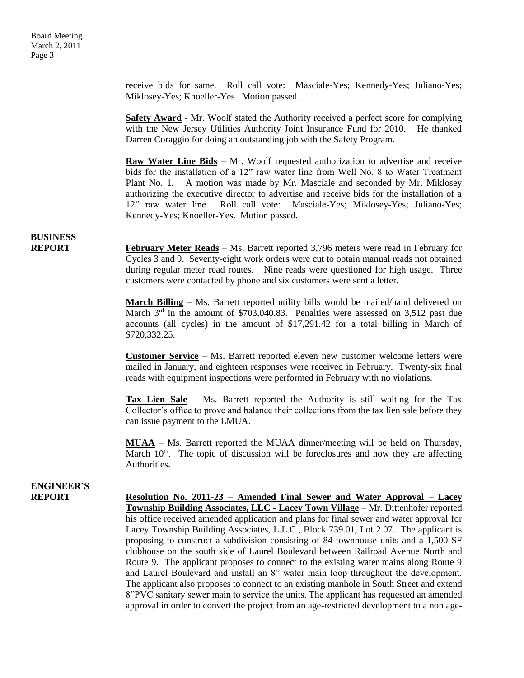receive bids for same. Roll call vote: Masciale-Yes; Kennedy-Yes; Juliano-Yes; Miklosey-Yes; Knoeller-Yes. Motion passed.

**Safety Award** - Mr. Woolf stated the Authority received a perfect score for complying with the New Jersey Utilities Authority Joint Insurance Fund for 2010. He thanked Darren Coraggio for doing an outstanding job with the Safety Program.

**Raw Water Line Bids** – Mr. Woolf requested authorization to advertise and receive bids for the installation of a 12" raw water line from Well No. 8 to Water Treatment Plant No. 1. A motion was made by Mr. Masciale and seconded by Mr. Miklosey authorizing the executive director to advertise and receive bids for the installation of a 12" raw water line. Roll call vote: Masciale-Yes; Miklosey-Yes; Juliano-Yes; Kennedy-Yes; Knoeller-Yes. Motion passed.

## **BUSINESS**

**REPORT** February Meter Reads – Ms. Barrett reported 3,796 meters were read in February for Cycles 3 and 9. Seventy-eight work orders were cut to obtain manual reads not obtained during regular meter read routes. Nine reads were questioned for high usage. Three customers were contacted by phone and six customers were sent a letter.

> **March Billing –** Ms. Barrett reported utility bills would be mailed/hand delivered on March  $3<sup>rd</sup>$  in the amount of \$703,040.83. Penalties were assessed on 3,512 past due accounts (all cycles) in the amount of \$17,291.42 for a total billing in March of \$720,332.25.

> **Customer Service –** Ms. Barrett reported eleven new customer welcome letters were mailed in January, and eighteen responses were received in February. Twenty-six final reads with equipment inspections were performed in February with no violations.

> **Tax Lien Sale** – Ms. Barrett reported the Authority is still waiting for the Tax Collector's office to prove and balance their collections from the tax lien sale before they can issue payment to the LMUA.

> **MUAA** – Ms. Barrett reported the MUAA dinner/meeting will be held on Thursday, March  $10<sup>th</sup>$ . The topic of discussion will be foreclosures and how they are affecting Authorities.

# **ENGINEER'S**

**REPORT Resolution No. 2011-23 – Amended Final Sewer and Water Approval – Lacey Township Building Associates, LLC - Lacey Town Village** – Mr. Dittenhofer reported his office received amended application and plans for final sewer and water approval for Lacey Township Building Associates, L.L.C., Block 739.01, Lot 2.07. The applicant is proposing to construct a subdivision consisting of 84 townhouse units and a 1,500 SF clubhouse on the south side of Laurel Boulevard between Railroad Avenue North and Route 9. The applicant proposes to connect to the existing water mains along Route 9 and Laurel Boulevard and install an 8" water main loop throughout the development. The applicant also proposes to connect to an existing manhole in South Street and extend 8"PVC sanitary sewer main to service the units. The applicant has requested an amended approval in order to convert the project from an age-restricted development to a non age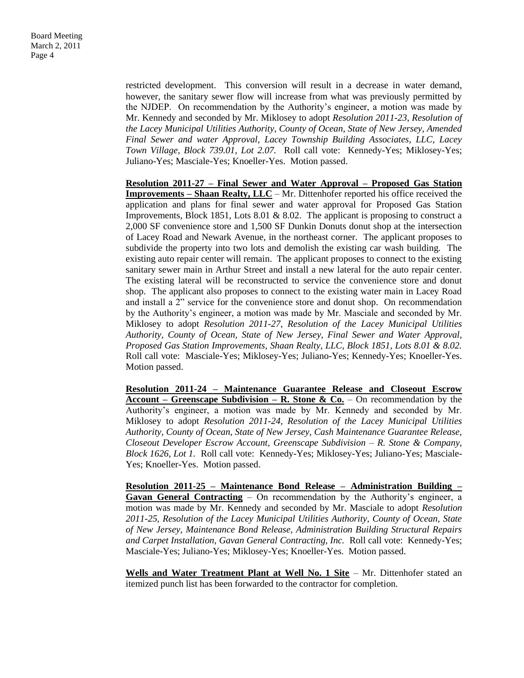restricted development. This conversion will result in a decrease in water demand, however, the sanitary sewer flow will increase from what was previously permitted by the NJDEP. On recommendation by the Authority's engineer, a motion was made by Mr. Kennedy and seconded by Mr. Miklosey to adopt *Resolution 2011-23, Resolution of the Lacey Municipal Utilities Authority, County of Ocean, State of New Jersey, Amended Final Sewer and water Approval, Lacey Township Building Associates, LLC, Lacey Town Village, Block 739.01, Lot 2.07.* Roll call vote: Kennedy-Yes; Miklosey-Yes; Juliano-Yes; Masciale-Yes; Knoeller-Yes. Motion passed.

**Resolution 2011-27 – Final Sewer and Water Approval – Proposed Gas Station Improvements – Shaan Realty, LLC** – Mr. Dittenhofer reported his office received the application and plans for final sewer and water approval for Proposed Gas Station Improvements, Block 1851, Lots 8.01 & 8.02. The applicant is proposing to construct a 2,000 SF convenience store and 1,500 SF Dunkin Donuts donut shop at the intersection of Lacey Road and Newark Avenue, in the northeast corner. The applicant proposes to subdivide the property into two lots and demolish the existing car wash building. The existing auto repair center will remain. The applicant proposes to connect to the existing sanitary sewer main in Arthur Street and install a new lateral for the auto repair center. The existing lateral will be reconstructed to service the convenience store and donut shop. The applicant also proposes to connect to the existing water main in Lacey Road and install a 2" service for the convenience store and donut shop. On recommendation by the Authority's engineer, a motion was made by Mr. Masciale and seconded by Mr. Miklosey to adopt *Resolution 2011-27*, *Resolution of the Lacey Municipal Utilities Authority, County of Ocean, State of New Jersey, Final Sewer and Water Approval, Proposed Gas Station Improvements, Shaan Realty, LLC, Block 1851, Lots 8.01 & 8.02.*  Roll call vote: Masciale-Yes; Miklosey-Yes; Juliano-Yes; Kennedy-Yes; Knoeller-Yes. Motion passed.

**Resolution 2011-24 – Maintenance Guarantee Release and Closeout Escrow Account – Greenscape Subdivision – R. Stone & Co.** – On recommendation by the Authority's engineer, a motion was made by Mr. Kennedy and seconded by Mr. Miklosey to adopt *Resolution 2011-24, Resolution of the Lacey Municipal Utilities Authority, County of Ocean, State of New Jersey, Cash Maintenance Guarantee Release, Closeout Developer Escrow Account, Greenscape Subdivision – R. Stone & Company, Block 1626, Lot 1.* Roll call vote: Kennedy-Yes; Miklosey-Yes; Juliano-Yes; Masciale-Yes; Knoeller-Yes. Motion passed.

**Resolution 2011-25 – Maintenance Bond Release – Administration Building – Gavan General Contracting** – On recommendation by the Authority's engineer, a motion was made by Mr. Kennedy and seconded by Mr. Masciale to adopt *Resolution 2011-25, Resolution of the Lacey Municipal Utilities Authority, County of Ocean, State of New Jersey, Maintenance Bond Release, Administration Building Structural Repairs and Carpet Installation, Gavan General Contracting, Inc.* Roll call vote: Kennedy-Yes; Masciale-Yes; Juliano-Yes; Miklosey-Yes; Knoeller-Yes. Motion passed.

**Wells and Water Treatment Plant at Well No. 1 Site** – Mr. Dittenhofer stated an itemized punch list has been forwarded to the contractor for completion.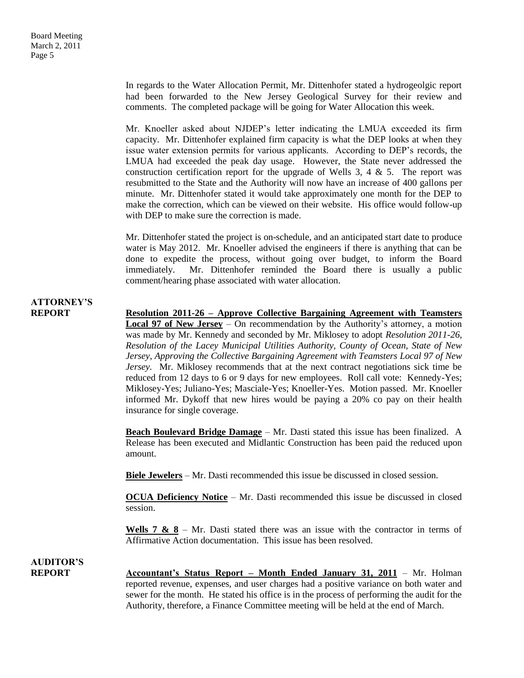In regards to the Water Allocation Permit, Mr. Dittenhofer stated a hydrogeolgic report had been forwarded to the New Jersey Geological Survey for their review and comments. The completed package will be going for Water Allocation this week.

Mr. Knoeller asked about NJDEP's letter indicating the LMUA exceeded its firm capacity. Mr. Dittenhofer explained firm capacity is what the DEP looks at when they issue water extension permits for various applicants. According to DEP's records, the LMUA had exceeded the peak day usage. However, the State never addressed the construction certification report for the upgrade of Wells  $3, 4 \& 5$ . The report was resubmitted to the State and the Authority will now have an increase of 400 gallons per minute. Mr. Dittenhofer stated it would take approximately one month for the DEP to make the correction, which can be viewed on their website. His office would follow-up with DEP to make sure the correction is made.

Mr. Dittenhofer stated the project is on-schedule, and an anticipated start date to produce water is May 2012. Mr. Knoeller advised the engineers if there is anything that can be done to expedite the process, without going over budget, to inform the Board immediately. Mr. Dittenhofer reminded the Board there is usually a public comment/hearing phase associated with water allocation.

# **ATTORNEY'S**

**REPORT Resolution 2011-26 – Approve Collective Bargaining Agreement with Teamsters Local 97 of New Jersey** – On recommendation by the Authority's attorney, a motion was made by Mr. Kennedy and seconded by Mr. Miklosey to adopt *Resolution 2011-26, Resolution of the Lacey Municipal Utilities Authority, County of Ocean, State of New Jersey, Approving the Collective Bargaining Agreement with Teamsters Local 97 of New Jersey.* Mr. Miklosey recommends that at the next contract negotiations sick time be reduced from 12 days to 6 or 9 days for new employees. Roll call vote: Kennedy-Yes; Miklosey-Yes; Juliano-Yes; Masciale-Yes; Knoeller-Yes. Motion passed. Mr. Knoeller informed Mr. Dykoff that new hires would be paying a 20% co pay on their health insurance for single coverage.

> **Beach Boulevard Bridge Damage** – Mr. Dasti stated this issue has been finalized. A Release has been executed and Midlantic Construction has been paid the reduced upon amount.

**Biele Jewelers** – Mr. Dasti recommended this issue be discussed in closed session.

**OCUA Deficiency Notice** – Mr. Dasti recommended this issue be discussed in closed session.

**Wells 7 & 8** – Mr. Dasti stated there was an issue with the contractor in terms of Affirmative Action documentation. This issue has been resolved.

**AUDITOR'S**

**REPORT Accountant's Status Report – Month Ended January 31, 2011** – Mr. Holman reported revenue, expenses, and user charges had a positive variance on both water and sewer for the month. He stated his office is in the process of performing the audit for the Authority, therefore, a Finance Committee meeting will be held at the end of March.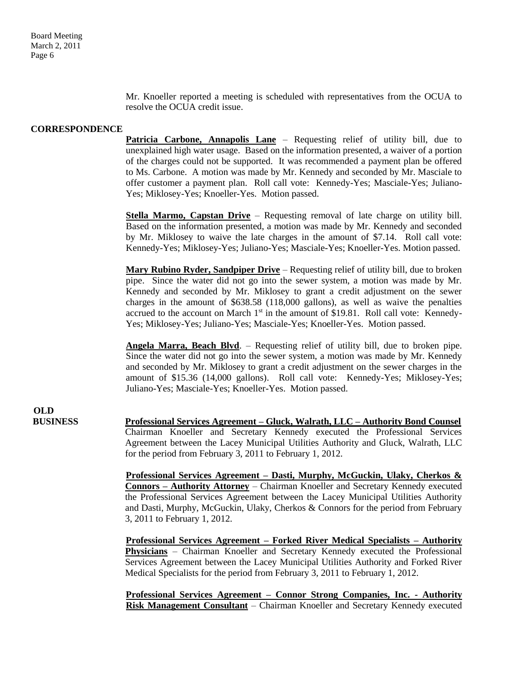Mr. Knoeller reported a meeting is scheduled with representatives from the OCUA to resolve the OCUA credit issue.

#### **CORRESPONDENCE**

**Patricia Carbone, Annapolis Lane** – Requesting relief of utility bill, due to unexplained high water usage. Based on the information presented, a waiver of a portion of the charges could not be supported. It was recommended a payment plan be offered to Ms. Carbone. A motion was made by Mr. Kennedy and seconded by Mr. Masciale to offer customer a payment plan. Roll call vote: Kennedy-Yes; Masciale-Yes; Juliano-Yes; Miklosey-Yes; Knoeller-Yes. Motion passed.

**Stella Marmo, Capstan Drive** – Requesting removal of late charge on utility bill. Based on the information presented, a motion was made by Mr. Kennedy and seconded by Mr. Miklosey to waive the late charges in the amount of \$7.14. Roll call vote: Kennedy-Yes; Miklosey-Yes; Juliano-Yes; Masciale-Yes; Knoeller-Yes. Motion passed.

**Mary Rubino Ryder, Sandpiper Drive** – Requesting relief of utility bill, due to broken pipe. Since the water did not go into the sewer system, a motion was made by Mr. Kennedy and seconded by Mr. Miklosey to grant a credit adjustment on the sewer charges in the amount of \$638.58 (118,000 gallons), as well as waive the penalties accrued to the account on March  $1<sup>st</sup>$  in the amount of \$19.81. Roll call vote: Kennedy-Yes; Miklosey-Yes; Juliano-Yes; Masciale-Yes; Knoeller-Yes. Motion passed.

**Angela Marra, Beach Blvd**. – Requesting relief of utility bill, due to broken pipe. Since the water did not go into the sewer system, a motion was made by Mr. Kennedy and seconded by Mr. Miklosey to grant a credit adjustment on the sewer charges in the amount of \$15.36 (14,000 gallons). Roll call vote: Kennedy-Yes; Miklosey-Yes; Juliano-Yes; Masciale-Yes; Knoeller-Yes. Motion passed.

**OLD**

**BUSINESS Professional Services Agreement – Gluck, Walrath, LLC – Authority Bond Counsel** Chairman Knoeller and Secretary Kennedy executed the Professional Services Agreement between the Lacey Municipal Utilities Authority and Gluck, Walrath, LLC for the period from February 3, 2011 to February 1, 2012.

> **Professional Services Agreement – Dasti, Murphy, McGuckin, Ulaky, Cherkos & Connors – Authority Attorney** – Chairman Knoeller and Secretary Kennedy executed the Professional Services Agreement between the Lacey Municipal Utilities Authority and Dasti, Murphy, McGuckin, Ulaky, Cherkos & Connors for the period from February 3, 2011 to February 1, 2012.

> **Professional Services Agreement – Forked River Medical Specialists – Authority Physicians** – Chairman Knoeller and Secretary Kennedy executed the Professional Services Agreement between the Lacey Municipal Utilities Authority and Forked River Medical Specialists for the period from February 3, 2011 to February 1, 2012.

> **Professional Services Agreement – Connor Strong Companies, Inc. - Authority Risk Management Consultant** – Chairman Knoeller and Secretary Kennedy executed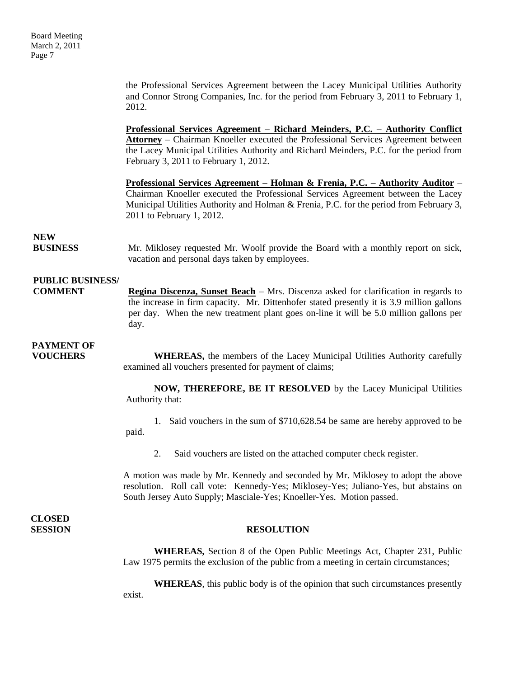the Professional Services Agreement between the Lacey Municipal Utilities Authority and Connor Strong Companies, Inc. for the period from February 3, 2011 to February 1, 2012.

**Professional Services Agreement – Richard Meinders, P.C. – Authority Conflict Attorney** – Chairman Knoeller executed the Professional Services Agreement between the Lacey Municipal Utilities Authority and Richard Meinders, P.C. for the period from February 3, 2011 to February 1, 2012.

**Professional Services Agreement – Holman & Frenia, P.C. – Authority Auditor** – Chairman Knoeller executed the Professional Services Agreement between the Lacey Municipal Utilities Authority and Holman & Frenia, P.C. for the period from February 3, 2011 to February 1, 2012.

### **NEW**

**BUSINESS** Mr. Miklosey requested Mr. Woolf provide the Board with a monthly report on sick, vacation and personal days taken by employees.

## **PUBLIC BUSINESS/**

**COMMENT Regina Discenza, Sunset Beach** – Mrs. Discenza asked for clarification in regards to the increase in firm capacity. Mr. Dittenhofer stated presently it is 3.9 million gallons per day. When the new treatment plant goes on-line it will be 5.0 million gallons per day.

# **PAYMENT OF**

**VOUCHERS** WHEREAS, the members of the Lacey Municipal Utilities Authority carefully examined all vouchers presented for payment of claims;

> **NOW, THEREFORE, BE IT RESOLVED** by the Lacey Municipal Utilities Authority that:

> 1. Said vouchers in the sum of \$710,628.54 be same are hereby approved to be paid.

2. Said vouchers are listed on the attached computer check register.

A motion was made by Mr. Kennedy and seconded by Mr. Miklosey to adopt the above resolution. Roll call vote: Kennedy-Yes; Miklosey-Yes; Juliano-Yes, but abstains on South Jersey Auto Supply; Masciale-Yes; Knoeller-Yes. Motion passed.

**CLOSED** 

### **SESSION RESOLUTION**

**WHEREAS,** Section 8 of the Open Public Meetings Act, Chapter 231, Public Law 1975 permits the exclusion of the public from a meeting in certain circumstances;

**WHEREAS**, this public body is of the opinion that such circumstances presently exist.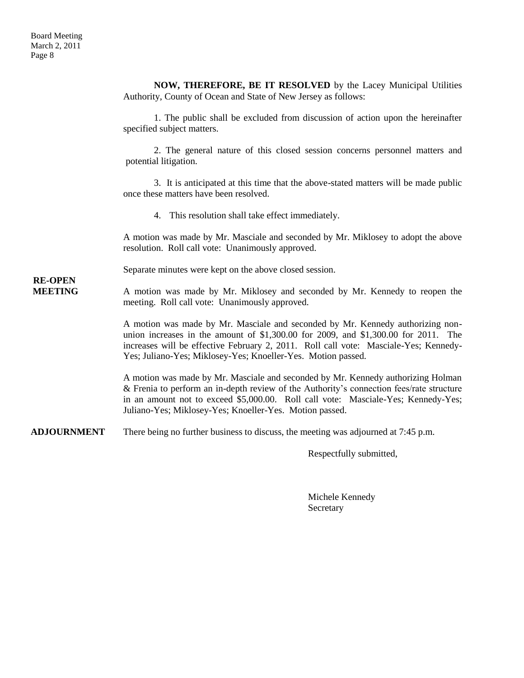|                                  | NOW, THEREFORE, BE IT RESOLVED by the Lacey Municipal Utilities<br>Authority, County of Ocean and State of New Jersey as follows:                                                                                                                                                                                              |
|----------------------------------|--------------------------------------------------------------------------------------------------------------------------------------------------------------------------------------------------------------------------------------------------------------------------------------------------------------------------------|
| <b>RE-OPEN</b><br><b>MEETING</b> | 1. The public shall be excluded from discussion of action upon the hereinafter<br>specified subject matters.                                                                                                                                                                                                                   |
|                                  | 2. The general nature of this closed session concerns personnel matters and<br>potential litigation.                                                                                                                                                                                                                           |
|                                  | 3. It is anticipated at this time that the above-stated matters will be made public<br>once these matters have been resolved.                                                                                                                                                                                                  |
|                                  | 4. This resolution shall take effect immediately.                                                                                                                                                                                                                                                                              |
|                                  | A motion was made by Mr. Masciale and seconded by Mr. Miklosey to adopt the above<br>resolution. Roll call vote: Unanimously approved.                                                                                                                                                                                         |
|                                  | Separate minutes were kept on the above closed session.                                                                                                                                                                                                                                                                        |
|                                  | A motion was made by Mr. Miklosey and seconded by Mr. Kennedy to reopen the<br>meeting. Roll call vote: Unanimously approved.                                                                                                                                                                                                  |
|                                  | A motion was made by Mr. Masciale and seconded by Mr. Kennedy authorizing non-<br>union increases in the amount of $$1,300.00$ for 2009, and $$1,300.00$ for 2011. The<br>increases will be effective February 2, 2011. Roll call vote: Masciale-Yes; Kennedy-<br>Yes; Juliano-Yes; Miklosey-Yes; Knoeller-Yes. Motion passed. |
|                                  | A motion was made by Mr. Masciale and seconded by Mr. Kennedy authorizing Holman<br>& Frenia to perform an in-depth review of the Authority's connection fees/rate structure<br>in an amount not to exceed \$5,000.00. Roll call vote: Masciale-Yes; Kennedy-Yes;<br>Juliano-Yes; Miklosey-Yes; Knoeller-Yes. Motion passed.   |
| <b>ADJOURNMENT</b>               | There being no further business to discuss, the meeting was adjourned at 7:45 p.m.                                                                                                                                                                                                                                             |
|                                  | Respectfully submitted,                                                                                                                                                                                                                                                                                                        |

Michele Kennedy Secretary